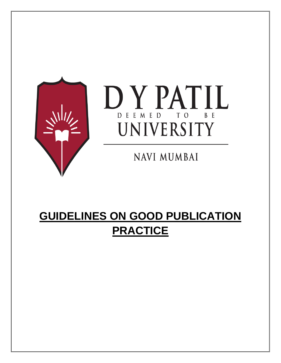

# **GUIDELINES ON GOOD PUBLICATION PRACTICE**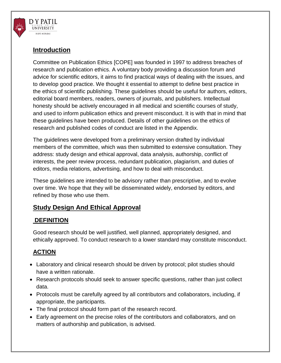

# **Introduction**

Committee on Publication Ethics [COPE] was founded in 1997 to address breaches of research and publication ethics. A voluntary body providing a discussion forum and advice for scientific editors, it aims to find practical ways of dealing with the issues, and to develop good practice. We thought it essential to attempt to define best practice in the ethics of scientific publishing. These guidelines should be useful for authors, editors, editorial board members, readers, owners of journals, and publishers. Intellectual honesty should be actively encouraged in all medical and scientific courses of study, and used to inform publication ethics and prevent misconduct. It is with that in mind that these guidelines have been produced. Details of other guidelines on the ethics of research and published codes of conduct are listed in the Appendix.

The guidelines were developed from a preliminary version drafted by individual members of the committee, which was then submitted to extensive consultation. They address: study design and ethical approval, data analysis, authorship, conflict of interests, the peer review process, redundant publication, plagiarism, and duties of editors, media relations, advertising, and how to deal with misconduct.

These guidelines are intended to be advisory rather than prescriptive, and to evolve over time. We hope that they will be disseminated widely, endorsed by editors, and refined by those who use them.

# **Study Design And Ethical Approval**

## **DEFINITION**

Good research should be well justified, well planned, appropriately designed, and ethically approved. To conduct research to a lower standard may constitute misconduct.

## **ACTION**

- Laboratory and clinical research should be driven by protocol; pilot studies should have a written rationale.
- Research protocols should seek to answer specific questions, rather than just collect data.
- Protocols must be carefully agreed by all contributors and collaborators, including, if appropriate, the participants.
- The final protocol should form part of the research record.
- Early agreement on the precise roles of the contributors and collaborators, and on matters of authorship and publication, is advised.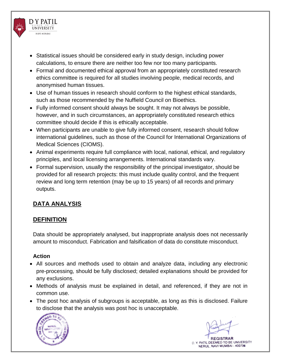- Statistical issues should be considered early in study design, including power calculations, to ensure there are neither too few nor too many participants.
- Formal and documented ethical approval from an appropriately constituted research ethics committee is required for all studies involving people, medical records, and anonymised human tissues.
- Use of human tissues in research should conform to the highest ethical standards, such as those recommended by the Nuffield Council on Bioethics.
- Fully informed consent should always be sought. It may not always be possible, however, and in such circumstances, an appropriately constituted research ethics committee should decide if this is ethically acceptable.
- When participants are unable to give fully informed consent, research should follow international guidelines, such as those of the Council for International Organizations of Medical Sciences (CIOMS).
- Animal experiments require full compliance with local, national, ethical, and regulatory principles, and local licensing arrangements. International standards vary.
- Formal supervision, usually the responsibility of the principal investigator, should be provided for all research projects: this must include quality control, and the frequent review and long term retention (may be up to 15 years) of all records and primary outputs.

# **DATA ANALYSIS**

## **DEFINITION**

D Y PATIL **UNIVERSITY** NAVE MITMRAT

> Data should be appropriately analysed, but inappropriate analysis does not necessarily amount to misconduct. Fabrication and falsification of data do constitute misconduct.

## **Action**

- All sources and methods used to obtain and analyze data, including any electronic pre-processing, should be fully disclosed; detailed explanations should be provided for any exclusions.
- Methods of analysis must be explained in detail, and referenced, if they are not in common use.
- The post hoc analysis of subgroups is acceptable, as long as this is disclosed. Failure to disclose that the analysis was post hoc is unacceptable.



**REGISTRAR** Y. PATIL DEEMED TO BE UNIVERSITY

NERUL, NAVI MUMBAI - 400706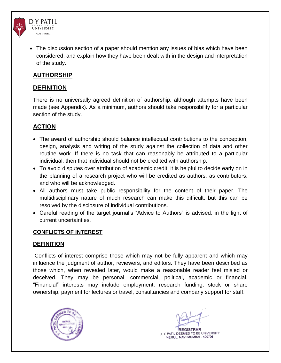The discussion section of a paper should mention any issues of bias which have been considered, and explain how they have been dealt with in the design and interpretation of the study.

#### **AUTHORSHIP**

#### **DEFINITION**

D Y PATIL **UNIVERSITY** NAVE MITMRAT

> There is no universally agreed definition of authorship, although attempts have been made (see Appendix). As a minimum, authors should take responsibility for a particular section of the study.

#### **ACTION**

- The award of authorship should balance intellectual contributions to the conception, design, analysis and writing of the study against the collection of data and other routine work. If there is no task that can reasonably be attributed to a particular individual, then that individual should not be credited with authorship.
- To avoid disputes over attribution of academic credit, it is helpful to decide early on in the planning of a research project who will be credited as authors, as contributors, and who will be acknowledged.
- All authors must take public responsibility for the content of their paper. The multidisciplinary nature of much research can make this difficult, but this can be resolved by the disclosure of individual contributions.
- Careful reading of the target journal's "Advice to Authors" is advised, in the light of current uncertainties.

#### **CONFLICTS OF INTEREST**

#### **DEFINITION**

Conflicts of interest comprise those which may not be fully apparent and which may influence the judgment of author, reviewers, and editors. They have been described as those which, when revealed later, would make a reasonable reader feel misled or deceived. They may be personal, commercial, political, academic or financial. "Financial" interests may include employment, research funding, stock or share ownership, payment for lectures or travel, consultancies and company support for staff.



**REGISTRAR** 

D. Y. PATIL DEEMED TO BE UNIVERSITY NERUL, NAVI MUMBAI - 400706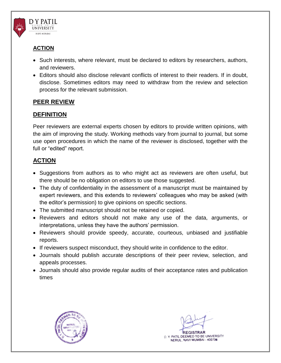

## **ACTION**

- Such interests, where relevant, must be declared to editors by researchers, authors, and reviewers.
- Editors should also disclose relevant conflicts of interest to their readers. If in doubt, disclose. Sometimes editors may need to withdraw from the review and selection process for the relevant submission.

## **PEER REVIEW**

## **DEFINITION**

Peer reviewers are external experts chosen by editors to provide written opinions, with the aim of improving the study. Working methods vary from journal to journal, but some use open procedures in which the name of the reviewer is disclosed, together with the full or "edited" report.

## **ACTION**

- Suggestions from authors as to who might act as reviewers are often useful, but there should be no obligation on editors to use those suggested.
- The duty of confidentiality in the assessment of a manuscript must be maintained by expert reviewers, and this extends to reviewers' colleagues who may be asked (with the editor's permission) to give opinions on specific sections.
- The submitted manuscript should not be retained or copied.
- Reviewers and editors should not make any use of the data, arguments, or interpretations, unless they have the authors' permission.
- Reviewers should provide speedy, accurate, courteous, unbiased and justifiable reports.
- If reviewers suspect misconduct, they should write in confidence to the editor.
- Journals should publish accurate descriptions of their peer review, selection, and appeals processes.
- Journals should also provide regular audits of their acceptance rates and publication times



**REGISTRAR** D. Y. PATIL DEEMED TO BE UNIVERSITY NERUL, NAVI MUMBAI - 400706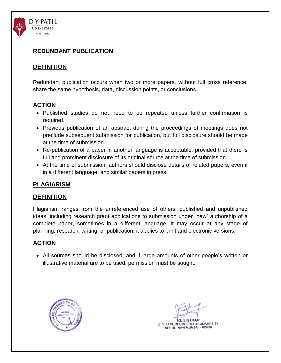

## **REDUNDANT PUBLICATION**

#### **DEFINITION**

Redundant publication occurs when two or more papers, without full cross reference, share the same hypothesis, data, discussion points, or conclusions.

#### **ACTION**

- Published studies do not need to be repeated unless further confirmation is required.
- Previous publication of an abstract during the proceedings of meetings does not preclude subsequent submission for publication, but full disclosure should be made at the time of submission.
- Re-publication of a paper in another language is acceptable, provided that there is full and prominent disclosure of its original source at the time of submission.
- At the time of submission, authors should disclose details of related papers, even if in a different language, and similar papers in press.

#### **PLAGIARISM**

#### **DEFINITION**

Plagiarism ranges from the unreferenced use of others' published and unpublished ideas, including research grant applications to submission under "new" authorship of a complete paper, sometimes in a different language. It may occur at any stage of planning, research, writing, or publication: it applies to print and electronic versions.

#### **ACTION**

• All sources should be disclosed, and if large amounts of other people's written or illustrative material are to be used, permission must be sought.



**REGISTRAR** D. Y. PATIL DEEMED TO BE UNIVERSITY NERUL, NAVI MUMBAI - 400706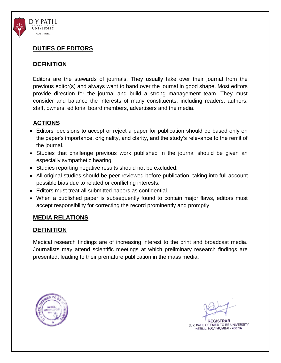

## **DUTIES OF EDITORS**

## **DEFINITION**

Editors are the stewards of journals. They usually take over their journal from the previous editor(s) and always want to hand over the journal in good shape. Most editors provide direction for the journal and build a strong management team. They must consider and balance the interests of many constituents, including readers, authors, staff, owners, editorial board members, advertisers and the media.

## **ACTIONS**

- Editors' decisions to accept or reject a paper for publication should be based only on the paper's importance, originality, and clarity, and the study's relevance to the remit of the journal.
- Studies that challenge previous work published in the journal should be given an especially sympathetic hearing.
- Studies reporting negative results should not be excluded.
- All original studies should be peer reviewed before publication, taking into full account possible bias due to related or conflicting interests.
- Editors must treat all submitted papers as confidential.
- When a published paper is subsequently found to contain major flaws, editors must accept responsibility for correcting the record prominently and promptly

## **MEDIA RELATIONS**

#### **DEFINITION**

Medical research findings are of increasing interest to the print and broadcast media. Journalists may attend scientific meetings at which preliminary research findings are presented, leading to their premature publication in the mass media.



**REGISTRAR** D. Y. PATIL DEEMED TO BE UNIVERSITY NERUL, NAVI MUMBAI - 400706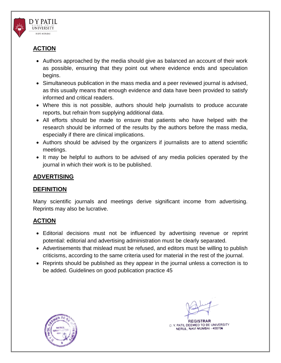

# **ACTION**

- Authors approached by the media should give as balanced an account of their work as possible, ensuring that they point out where evidence ends and speculation begins.
- Simultaneous publication in the mass media and a peer reviewed journal is advised, as this usually means that enough evidence and data have been provided to satisfy informed and critical readers.
- Where this is not possible, authors should help journalists to produce accurate reports, but refrain from supplying additional data.
- All efforts should be made to ensure that patients who have helped with the research should be informed of the results by the authors before the mass media, especially if there are clinical implications.
- Authors should be advised by the organizers if journalists are to attend scientific meetings.
- It may be helpful to authors to be advised of any media policies operated by the journal in which their work is to be published.

## **ADVERTISING**

#### **DEFINITION**

Many scientific journals and meetings derive significant income from advertising. Reprints may also be lucrative.

## **ACTION**

- Editorial decisions must not be influenced by advertising revenue or reprint potential: editorial and advertising administration must be clearly separated.
- Advertisements that mislead must be refused, and editors must be willing to publish criticisms, according to the same criteria used for material in the rest of the journal.
- Reprints should be published as they appear in the journal unless a correction is to be added. Guidelines on good publication practice 45



**REGISTRAR** D. Y. PATIL DEEMED TO BE UNIVERSITY NERUL, NAVI MUMBAI - 400706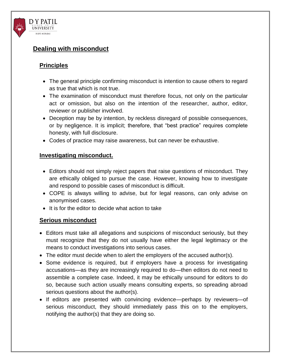

## **Dealing with misconduct**

## **Principles**

- The general principle confirming misconduct is intention to cause others to regard as true that which is not true.
- The examination of misconduct must therefore focus, not only on the particular act or omission, but also on the intention of the researcher, author, editor, reviewer or publisher involved.
- Deception may be by intention, by reckless disregard of possible consequences, or by negligence. It is implicit; therefore, that "best practice" requires complete honesty, with full disclosure.
- Codes of practice may raise awareness, but can never be exhaustive.

#### **Investigating misconduct.**

- Editors should not simply reject papers that raise questions of misconduct. They are ethically obliged to pursue the case. However, knowing how to investigate and respond to possible cases of misconduct is difficult.
- COPE is always willing to advise, but for legal reasons, can only advise on anonymised cases.
- It is for the editor to decide what action to take

#### **Serious misconduct**

- Editors must take all allegations and suspicions of misconduct seriously, but they must recognize that they do not usually have either the legal legitimacy or the means to conduct investigations into serious cases.
- The editor must decide when to alert the employers of the accused author(s).
- Some evidence is required, but if employers have a process for investigating accusations—as they are increasingly required to do—then editors do not need to assemble a complete case. Indeed, it may be ethically unsound for editors to do so, because such action usually means consulting experts, so spreading abroad serious questions about the author(s).
- If editors are presented with convincing evidence—perhaps by reviewers—of serious misconduct, they should immediately pass this on to the employers, notifying the author(s) that they are doing so.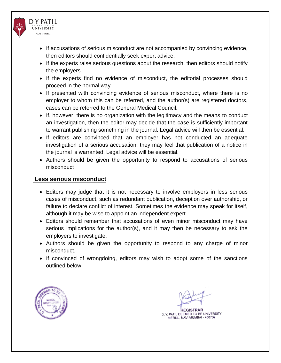

- If accusations of serious misconduct are not accompanied by convincing evidence, then editors should confidentially seek expert advice.
- If the experts raise serious questions about the research, then editors should notify the employers.
- If the experts find no evidence of misconduct, the editorial processes should proceed in the normal way.
- If presented with convincing evidence of serious misconduct, where there is no employer to whom this can be referred, and the author(s) are registered doctors, cases can be referred to the General Medical Council.
- If, however, there is no organization with the legitimacy and the means to conduct an investigation, then the editor may decide that the case is sufficiently important to warrant publishing something in the journal. Legal advice will then be essential.
- If editors are convinced that an employer has not conducted an adequate investigation of a serious accusation, they may feel that publication of a notice in the journal is warranted. Legal advice will be essential.
- Authors should be given the opportunity to respond to accusations of serious misconduct

#### **Less serious misconduct**

- Editors may judge that it is not necessary to involve employers in less serious cases of misconduct, such as redundant publication, deception over authorship, or failure to declare conflict of interest. Sometimes the evidence may speak for itself, although it may be wise to appoint an independent expert.
- Editors should remember that accusations of even minor misconduct may have serious implications for the author(s), and it may then be necessary to ask the employers to investigate.
- Authors should be given the opportunity to respond to any charge of minor misconduct.
- If convinced of wrongdoing, editors may wish to adopt some of the sanctions outlined below.



**REGISTRAR** 

D. Y. PATIL DEEMED TO BE UNIVERSITY NERUL, NAVI MUMBAI - 400706